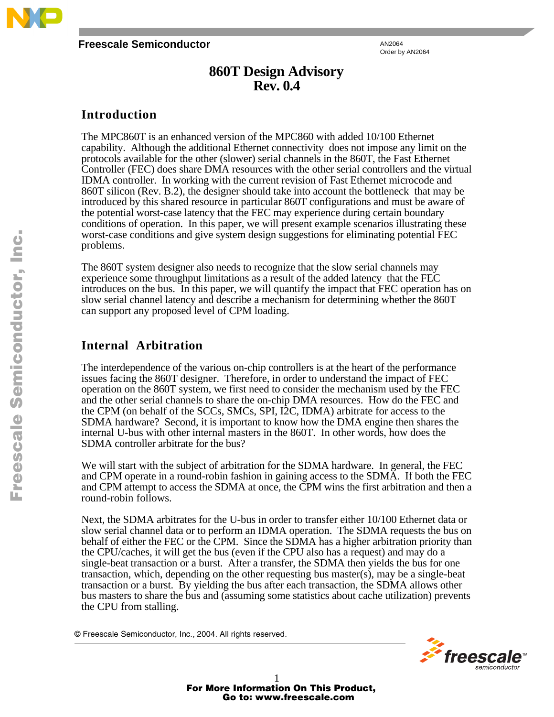

#### **Freescale Semiconductor**

AN2064 Order by AN2064

# **860T Design Advisory Rev. 0.4**

## **Introduction**

The MPC860T is an enhanced version of the MPC860 with added 10/100 Ethernet capability. Although the additional Ethernet connectivity does not impose any limit on the protocols available for the other (slower) serial channels in the 860T, the Fast Ethernet Controller (FEC) does share DMA resources with the other serial controllers and the virtual IDMA controller. In working with the current revision of Fast Ethernet microcode and 860T silicon (Rev. B.2), the designer should take into account the bottleneck that may be introduced by this shared resource in particular 860T configurations and must be aware of the potential worst-case latency that the FEC may experience during certain boundary conditions of operation. In this paper, we will present example scenarios illustrating these worst-case conditions and give system design suggestions for eliminating potential FEC problems.

The 860T system designer also needs to recognize that the slow serial channels may experience some throughput limitations as a result of the added latency that the FEC introduces on the bus. In this paper, we will quantify the impact that FEC operation has on slow serial channel latency and describe a mechanism for determining whether the 860T can support any proposed level of CPM loading.

# **Internal Arbitration**

The interdependence of the various on-chip controllers is at the heart of the performance issues facing the 860T designer. Therefore, in order to understand the impact of FEC operation on the 860T system, we first need to consider the mechanism used by the FEC and the other serial channels to share the on-chip DMA resources. How do the FEC and the CPM (on behalf of the SCCs, SMCs, SPI, I2C, IDMA) arbitrate for access to the SDMA hardware? Second, it is important to know how the DMA engine then shares the internal U-bus with other internal masters in the 860T. In other words, how does the SDMA controller arbitrate for the bus?

We will start with the subject of arbitration for the SDMA hardware. In general, the FEC and CPM operate in a round-robin fashion in gaining access to the SDMA. If both the FEC and CPM attempt to access the SDMA at once, the CPM wins the first arbitration and then a round-robin follows.

Next, the SDMA arbitrates for the U-bus in order to transfer either 10/100 Ethernet data or slow serial channel data or to perform an IDMA operation. The SDMA requests the bus on behalf of either the FEC or the CPM. Since the SDMA has a higher arbitration priority than the CPU/caches, it will get the bus (even if the CPU also has a request) and may do a single-beat transaction or a burst. After a transfer, the SDMA then yields the bus for one transaction, which, depending on the other requesting bus master(s), may be a single-beat transaction or a burst. By yielding the bus after each transaction, the SDMA allows other bus masters to share the bus and (assuming some statistics about cache utilization) prevents the CPU from stalling.

© Freescale Semiconductor, Inc., 2004. All rights reserved.

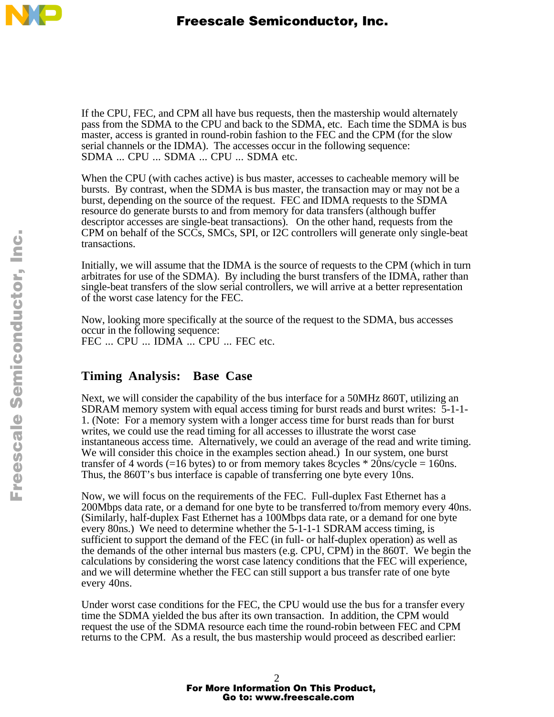

If the CPU, FEC, and CPM all have bus requests, then the mastership would alternately pass from the SDMA to the CPU and back to the SDMA, etc. Each time the SDMA is bus master, access is granted in round-robin fashion to the FEC and the CPM (for the slow serial channels or the IDMA). The accesses occur in the following sequence: SDMA ... CPU ... SDMA ... CPU ... SDMA etc.

When the CPU (with caches active) is bus master, accesses to cacheable memory will be bursts. By contrast, when the SDMA is bus master, the transaction may or may not be a burst, depending on the source of the request. FEC and IDMA requests to the SDMA resource do generate bursts to and from memory for data transfers (although buffer descriptor accesses are single-beat transactions). On the other hand, requests from the CPM on behalf of the SCCs, SMCs, SPI, or I2C controllers will generate only single-beat transactions.

Initially, we will assume that the IDMA is the source of requests to the CPM (which in turn arbitrates for use of the SDMA). By including the burst transfers of the IDMA, rather than single-beat transfers of the slow serial controllers, we will arrive at a better representation of the worst case latency for the FEC.

Now, looking more specifically at the source of the request to the SDMA, bus accesses occur in the following sequence: FEC ... CPU ... IDMA ... CPU ... FEC etc.

## **Timing Analysis: Base Case**

Next, we will consider the capability of the bus interface for a 50MHz 860T, utilizing an SDRAM memory system with equal access timing for burst reads and burst writes: 5-1-1- 1. (Note: For a memory system with a longer access time for burst reads than for burst writes, we could use the read timing for all accesses to illustrate the worst case instantaneous access time. Alternatively, we could an average of the read and write timing. We will consider this choice in the examples section ahead.) In our system, one burst transfer of 4 words (=16 bytes) to or from memory takes 8cycles  $*$  20ns/cycle = 160ns. Thus, the 860T's bus interface is capable of transferring one byte every 10ns.

Now, we will focus on the requirements of the FEC. Full-duplex Fast Ethernet has a 200Mbps data rate, or a demand for one byte to be transferred to/from memory every 40ns. (Similarly, half-duplex Fast Ethernet has a 100Mbps data rate, or a demand for one byte every 80ns.) We need to determine whether the 5-1-1-1 SDRAM access timing, is sufficient to support the demand of the FEC (in full- or half-duplex operation) as well as the demands of the other internal bus masters (e.g. CPU, CPM) in the 860T. We begin the calculations by considering the worst case latency conditions that the FEC will experience, and we will determine whether the FEC can still support a bus transfer rate of one byte every 40ns.

Under worst case conditions for the FEC, the CPU would use the bus for a transfer every time the SDMA yielded the bus after its own transaction. In addition, the CPM would request the use of the SDMA resource each time the round-robin between FEC and CPM returns to the CPM. As a result, the bus mastership would proceed as described earlier: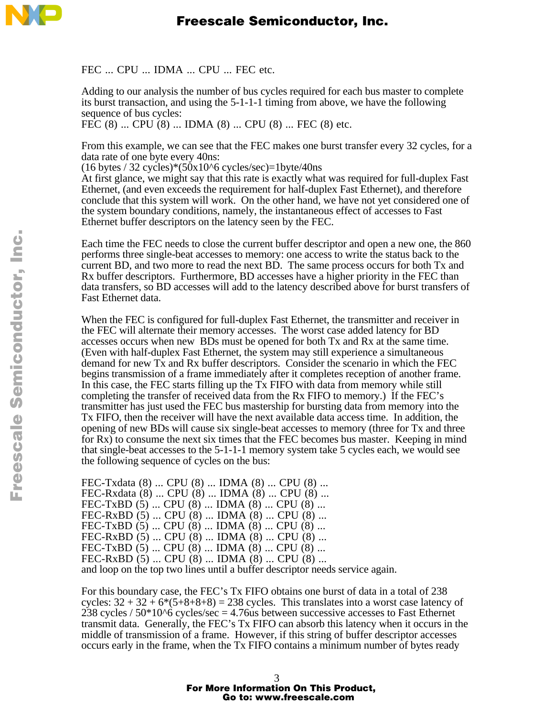

FEC ... CPU ... IDMA ... CPU ... FEC etc.

Adding to our analysis the number of bus cycles required for each bus master to complete its burst transaction, and using the 5-1-1-1 timing from above, we have the following sequence of bus cycles:

FEC (8) ... CPU (8) ... IDMA (8) ... CPU (8) ... FEC (8) etc.

From this example, we can see that the FEC makes one burst transfer every 32 cycles, for a data rate of one byte every 40ns:

 $(16 \text{ bytes} / 32 \text{ cycles})*(50x10^6 \text{ cycles/sec})=1 \text{byte}/40 \text{ns}$ 

At first glance, we might say that this rate is exactly what was required for full-duplex Fast Ethernet, (and even exceeds the requirement for half-duplex Fast Ethernet), and therefore conclude that this system will work. On the other hand, we have not yet considered one of the system boundary conditions, namely, the instantaneous effect of accesses to Fast Ethernet buffer descriptors on the latency seen by the FEC.

Each time the FEC needs to close the current buffer descriptor and open a new one, the 860 performs three single-beat accesses to memory: one access to write the status back to the current BD, and two more to read the next BD. The same process occurs for both Tx and Rx buffer descriptors. Furthermore, BD accesses have a higher priority in the FEC than data transfers, so BD accesses will add to the latency described above for burst transfers of Fast Ethernet data.

When the FEC is configured for full-duplex Fast Ethernet, the transmitter and receiver in the FEC will alternate their memory accesses. The worst case added latency for BD accesses occurs when new BDs must be opened for both Tx and Rx at the same time. (Even with half-duplex Fast Ethernet, the system may still experience a simultaneous demand for new Tx and Rx buffer descriptors. Consider the scenario in which the FEC begins transmission of a frame immediately after it completes reception of another frame. In this case, the FEC starts filling up the Tx FIFO with data from memory while still completing the transfer of received data from the Rx FIFO to memory.) If the FEC's transmitter has just used the FEC bus mastership for bursting data from memory into the Tx FIFO, then the receiver will have the next available data access time. In addition, the opening of new BDs will cause six single-beat accesses to memory (three for Tx and three for Rx) to consume the next six times that the FEC becomes bus master. Keeping in mind that single-beat accesses to the 5-1-1-1 memory system take 5 cycles each, we would see the following sequence of cycles on the bus:

FEC-Txdata (8) ... CPU (8) ... IDMA (8) ... CPU (8) ... FEC-Rxdata (8) ... CPU (8) ... IDMA (8) ... CPU (8) ... FEC-TxBD (5) ... CPU (8) ... IDMA (8) ... CPU (8) ... FEC-RxBD (5) ... CPU (8) ... IDMA (8) ... CPU (8) ... FEC-TxBD (5) ... CPU (8) ... IDMA (8) ... CPU (8) ... FEC-RxBD (5) ... CPU (8) ... IDMA (8) ... CPU (8) ... FEC-TxBD (5) ... CPU (8) ... IDMA (8) ... CPU (8) ... FEC-RxBD (5) ... CPU (8) ... IDMA (8) ... CPU (8) ... and loop on the top two lines until a buffer descriptor needs service again.

For this boundary case, the FEC's Tx FIFO obtains one burst of data in a total of 238 cycles:  $32 + 32 + 6*(5+8+8+8) = 238$  cycles. This translates into a worst case latency of 238 cycles  $/50*10^6$  cycles/sec = 4.76us between successive accesses to Fast Ethernet transmit data. Generally, the FEC's Tx FIFO can absorb this latency when it occurs in the middle of transmission of a frame. However, if this string of buffer descriptor accesses occurs early in the frame, when the Tx FIFO contains a minimum number of bytes ready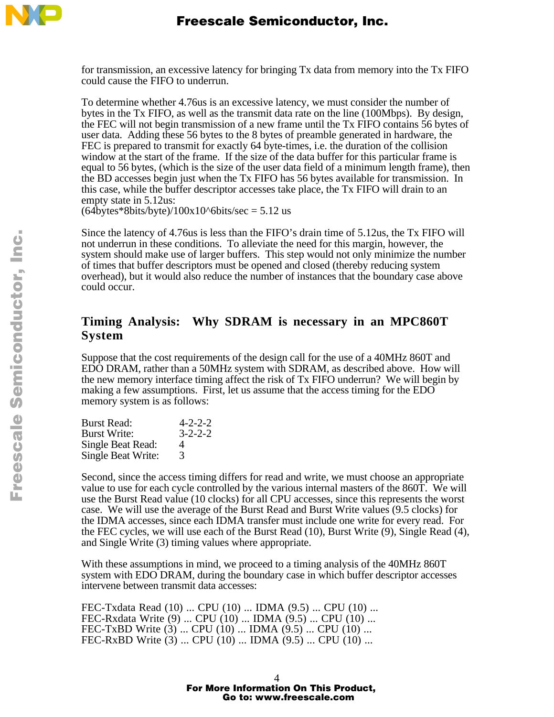

for transmission, an excessive latency for bringing Tx data from memory into the Tx FIFO could cause the FIFO to underrun.

To determine whether 4.76us is an excessive latency, we must consider the number of bytes in the Tx FIFO, as well as the transmit data rate on the line (100Mbps). By design, the FEC will not begin transmission of a new frame until the Tx FIFO contains 56 bytes of user data. Adding these 56 bytes to the 8 bytes of preamble generated in hardware, the FEC is prepared to transmit for exactly 64 byte-times, i.e. the duration of the collision window at the start of the frame. If the size of the data buffer for this particular frame is equal to 56 bytes, (which is the size of the user data field of a minimum length frame), then the BD accesses begin just when the Tx FIFO has 56 bytes available for transmission. In this case, while the buffer descriptor accesses take place, the Tx FIFO will drain to an empty state in 5.12us:

 $(64$ bytes\*8bits/byte)/100x10^6bits/sec = 5.12 us

Since the latency of 4.76us is less than the FIFO's drain time of 5.12us, the Tx FIFO will not underrun in these conditions. To alleviate the need for this margin, however, the system should make use of larger buffers. This step would not only minimize the number of times that buffer descriptors must be opened and closed (thereby reducing system overhead), but it would also reduce the number of instances that the boundary case above could occur.

## **Timing Analysis: Why SDRAM is necessary in an MPC860T System**

Suppose that the cost requirements of the design call for the use of a 40MHz 860T and EDO DRAM, rather than a 50MHz system with SDRAM, as described above. How will the new memory interface timing affect the risk of Tx FIFO underrun? We will begin by making a few assumptions. First, let us assume that the access timing for the EDO memory system is as follows:

| <b>Burst Read:</b>        | $4 - 2 - 2 - 2$ |
|---------------------------|-----------------|
| <b>Burst Write:</b>       | $3 - 2 - 2 - 2$ |
| Single Beat Read:         | 4               |
| <b>Single Beat Write:</b> | 3               |

Second, since the access timing differs for read and write, we must choose an appropriate value to use for each cycle controlled by the various internal masters of the 860T. We will use the Burst Read value (10 clocks) for all CPU accesses, since this represents the worst case. We will use the average of the Burst Read and Burst Write values (9.5 clocks) for the IDMA accesses, since each IDMA transfer must include one write for every read. For the FEC cycles, we will use each of the Burst Read (10), Burst Write (9), Single Read (4), and Single Write (3) timing values where appropriate.

With these assumptions in mind, we proceed to a timing analysis of the 40MHz 860T system with EDO DRAM, during the boundary case in which buffer descriptor accesses intervene between transmit data accesses:

FEC-Txdata Read (10) ... CPU (10) ... IDMA (9.5) ... CPU (10) ... FEC-Rxdata Write (9) ... CPU (10) ... IDMA (9.5) ... CPU (10) ... FEC-TxBD Write (3) ... CPU (10) ... IDMA (9.5) ... CPU (10) ... FEC-RxBD Write (3) ... CPU (10) ... IDMA (9.5) ... CPU (10) ...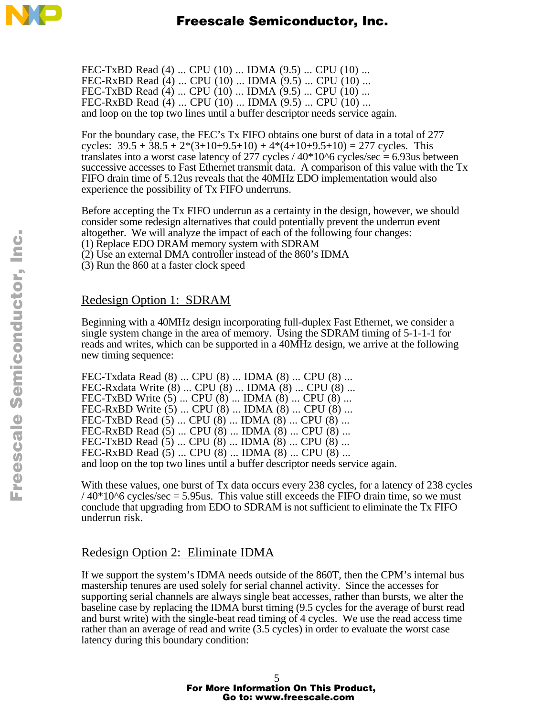

FEC-TxBD Read (4) ... CPU (10) ... IDMA (9.5) ... CPU (10) ... FEC-RxBD Read (4) ... CPU (10) ... IDMA (9.5) ... CPU (10) ... FEC-TxBD Read (4) ... CPU (10) ... IDMA (9.5) ... CPU (10) ... FEC-RxBD Read (4) ... CPU (10) ... IDMA (9.5) ... CPU (10) ... and loop on the top two lines until a buffer descriptor needs service again.

For the boundary case, the FEC's Tx FIFO obtains one burst of data in a total of 277 cycles:  $39.5 + 38.5 + 2*(3+10+9.5+10) + 4*(4+10+9.5+10) = 277$  cycles. This translates into a worst case latency of 277 cycles  $/$  40 $*$ 10 $\degree$ 6 cycles/sec = 6.93us between successive accesses to Fast Ethernet transmit data. A comparison of this value with the Tx FIFO drain time of 5.12us reveals that the 40MHz EDO implementation would also experience the possibility of Tx FIFO underruns.

Before accepting the Tx FIFO underrun as a certainty in the design, however, we should consider some redesign alternatives that could potentially prevent the underrun event altogether. We will analyze the impact of each of the following four changes: (1) Replace EDO DRAM memory system with SDRAM

(2) Use an external DMA controller instead of the 860's IDMA

(3) Run the 860 at a faster clock speed

## Redesign Option 1: SDRAM

Beginning with a 40MHz design incorporating full-duplex Fast Ethernet, we consider a single system change in the area of memory. Using the SDRAM timing of 5-1-1-1 for reads and writes, which can be supported in a 40MHz design, we arrive at the following new timing sequence:

FEC-Txdata Read (8) ... CPU (8) ... IDMA (8) ... CPU (8) ... FEC-Rxdata Write (8) ... CPU (8) ... IDMA (8) ... CPU (8) ... FEC-TxBD Write (5) ... CPU (8) ... IDMA (8) ... CPU (8) ... FEC-RxBD Write (5) ... CPU (8) ... IDMA (8) ... CPU (8) ... FEC-TxBD Read (5) ... CPU (8) ... IDMA (8) ... CPU (8) ... FEC-RxBD Read (5) ... CPU (8) ... IDMA (8) ... CPU (8) ... FEC-TxBD Read (5) ... CPU (8) ... IDMA (8) ... CPU (8) ... FEC-RxBD Read (5) ... CPU (8) ... IDMA (8) ... CPU (8) ... and loop on the top two lines until a buffer descriptor needs service again.

With these values, one burst of Tx data occurs every 238 cycles, for a latency of 238 cycles  $/40*10<sup>6</sup>$  cycles/sec = 5.95us. This value still exceeds the FIFO drain time, so we must conclude that upgrading from EDO to SDRAM is not sufficient to eliminate the Tx FIFO underrun risk.

## Redesign Option 2: Eliminate IDMA

If we support the system's IDMA needs outside of the 860T, then the CPM's internal bus mastership tenures are used solely for serial channel activity. Since the accesses for supporting serial channels are always single beat accesses, rather than bursts, we alter the baseline case by replacing the IDMA burst timing (9.5 cycles for the average of burst read and burst write) with the single-beat read timing of 4 cycles. We use the read access time rather than an average of read and write (3.5 cycles) in order to evaluate the worst case latency during this boundary condition: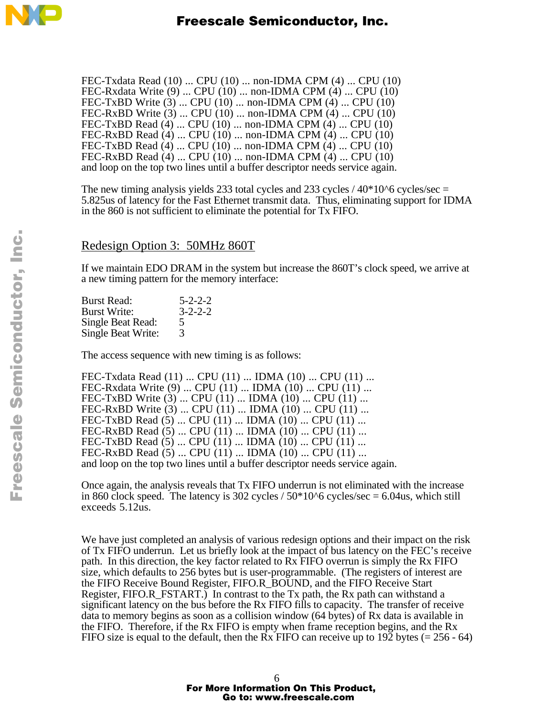

FEC-Txdata Read (10) ... CPU (10) ... non-IDMA CPM (4) ... CPU (10) FEC-Rxdata Write (9) ... CPU (10) ... non-IDMA CPM (4) ... CPU (10) FEC-TxBD Write (3) ... CPU (10) ... non-IDMA CPM (4) ... CPU (10) FEC-RxBD Write (3) ... CPU (10) ... non-IDMA CPM (4) ... CPU (10) FEC-TxBD Read (4) ... CPU (10) ... non-IDMA CPM (4) ... CPU (10) FEC-RxBD Read (4) ... CPU (10) ... non-IDMA CPM (4) ... CPU (10) FEC-TxBD Read (4) ... CPU (10) ... non-IDMA CPM (4) ... CPU (10) FEC-RxBD Read (4) ... CPU (10) ... non-IDMA CPM (4) ... CPU (10) and loop on the top two lines until a buffer descriptor needs service again.

The new timing analysis yields 233 total cycles and 233 cycles  $/40*10<sup>6</sup>$  cycles/sec = 5.825us of latency for the Fast Ethernet transmit data. Thus, eliminating support for IDMA in the 860 is not sufficient to eliminate the potential for Tx FIFO.

#### Redesign Option 3: 50MHz 860T

If we maintain EDO DRAM in the system but increase the 860T's clock speed, we arrive at a new timing pattern for the memory interface:

| $5 - 2 - 2 - 2$ |
|-----------------|
| $3 - 2 - 2 - 2$ |
| 5               |
| 3               |
|                 |

The access sequence with new timing is as follows:

FEC-Txdata Read (11) ... CPU (11) ... IDMA (10) ... CPU (11) ... FEC-Rxdata Write (9) ... CPU (11) ... IDMA (10) ... CPU (11) ... FEC-TxBD Write (3) ... CPU (11) ... IDMA (10) ... CPU (11) ... FEC-RxBD Write (3) ... CPU (11) ... IDMA (10) ... CPU (11) ... FEC-TxBD Read (5) ... CPU (11) ... IDMA (10) ... CPU (11) ... FEC-RxBD Read (5) ... CPU (11) ... IDMA (10) ... CPU (11) ... FEC-TxBD Read (5) ... CPU (11) ... IDMA (10) ... CPU (11) ... FEC-RxBD Read (5) ... CPU (11) ... IDMA (10) ... CPU (11) ... and loop on the top two lines until a buffer descriptor needs service again.

Once again, the analysis reveals that Tx FIFO underrun is not eliminated with the increase in 860 clock speed. The latency is 302 cycles  $/50*10<sup>6</sup>$  cycles/sec = 6.04us, which still exceeds 5.12us.

We have just completed an analysis of various redesign options and their impact on the risk of Tx FIFO underrun. Let us briefly look at the impact of bus latency on the FEC's receive path. In this direction, the key factor related to Rx FIFO overrun is simply the Rx FIFO size, which defaults to 256 bytes but is user-programmable. (The registers of interest are the FIFO Receive Bound Register, FIFO.R\_BOUND, and the FIFO Receive Start Register, FIFO.R\_FSTART.) In contrast to the Tx path, the Rx path can withstand a significant latency on the bus before the Rx FIFO fills to capacity. The transfer of receive data to memory begins as soon as a collision window (64 bytes) of Rx data is available in the FIFO. Therefore, if the Rx FIFO is empty when frame reception begins, and the Rx FIFO size is equal to the default, then the Rx FIFO can receive up to 192 bytes  $(= 256 - 64)$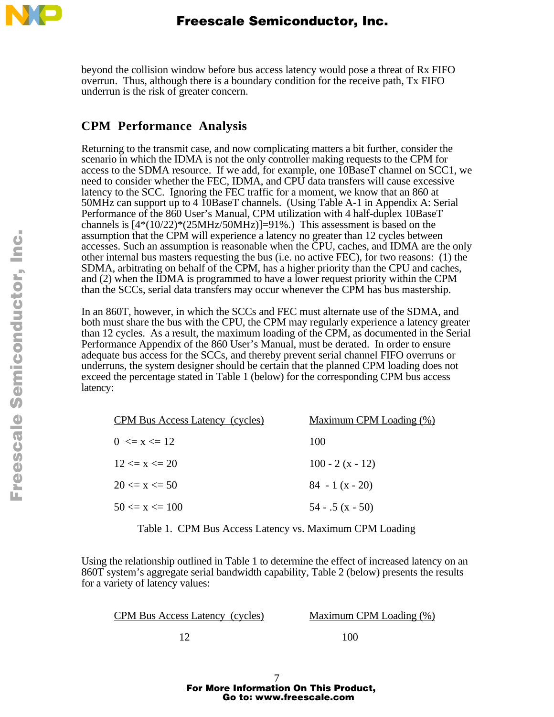

beyond the collision window before bus access latency would pose a threat of Rx FIFO overrun. Thus, although there is a boundary condition for the receive path, Tx FIFO underrun is the risk of greater concern.

# **CPM Performance Analysis**

Returning to the transmit case, and now complicating matters a bit further, consider the scenario in which the IDMA is not the only controller making requests to the CPM for access to the SDMA resource. If we add, for example, one 10BaseT channel on SCC1, we need to consider whether the FEC, IDMA, and CPU data transfers will cause excessive latency to the SCC. Ignoring the FEC traffic for a moment, we know that an 860 at 50MHz can support up to 4 10BaseT channels. (Using Table A-1 in Appendix A: Serial Performance of the 860 User's Manual, CPM utilization with 4 half-duplex 10BaseT channels is  $[4*(10/22)*(25MHz/50MHz)]=91\%$ . This assessment is based on the assumption that the CPM will experience a latency no greater than 12 cycles between accesses. Such an assumption is reasonable when the CPU, caches, and IDMA are the only other internal bus masters requesting the bus (i.e. no active FEC), for two reasons: (1) the SDMA, arbitrating on behalf of the CPM, has a higher priority than the CPU and caches, and (2) when the IDMA is programmed to have a lower request priority within the CPM than the SCCs, serial data transfers may occur whenever the CPM has bus mastership.

In an 860T, however, in which the SCCs and FEC must alternate use of the SDMA, and both must share the bus with the CPU, the CPM may regularly experience a latency greater than 12 cycles. As a result, the maximum loading of the CPM, as documented in the Serial Performance Appendix of the 860 User's Manual, must be derated. In order to ensure adequate bus access for the SCCs, and thereby prevent serial channel FIFO overruns or underruns, the system designer should be certain that the planned CPM loading does not exceed the percentage stated in Table 1 (below) for the corresponding CPM bus access latency:

| <b>CPM Bus Access Latency (cycles)</b> | <u>Maximum CPM Loading (%)</u> |
|----------------------------------------|--------------------------------|
| $0 \le x \le 12$                       | 100                            |
| $12 \le x \le 20$                      | 100 - 2 (x - 12)               |
| $20 \le x \le 50$                      | $84 - 1(x - 20)$               |
| $50 \le x \le 100$                     | $54 - .5(x - 50)$              |

Table 1. CPM Bus Access Latency vs. Maximum CPM Loading

Using the relationship outlined in Table 1 to determine the effect of increased latency on an 860T system's aggregate serial bandwidth capability, Table 2 (below) presents the results for a variety of latency values:

Maximum CPM Loading (%)

12 100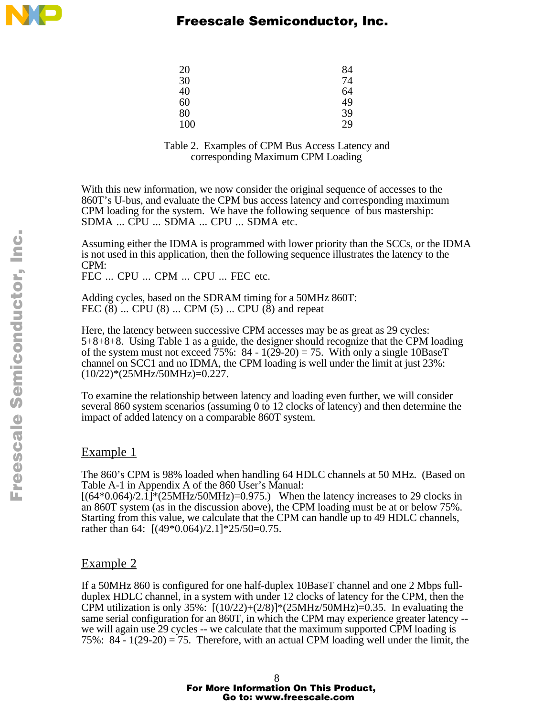

# Freescale Semiconductor, Inc.

| 20  | 84 |
|-----|----|
| 30  | 74 |
| 40  | 64 |
| 60  | 49 |
| 80  | 39 |
| 100 | 29 |

#### Table 2. Examples of CPM Bus Access Latency and corresponding Maximum CPM Loading

With this new information, we now consider the original sequence of accesses to the 860T's U-bus, and evaluate the CPM bus access latency and corresponding maximum CPM loading for the system. We have the following sequence of bus mastership: SDMA ... CPU ... SDMA ... CPU ... SDMA etc.

Assuming either the IDMA is programmed with lower priority than the SCCs, or the IDMA is not used in this application, then the following sequence illustrates the latency to the CPM:

FEC ... CPU ... CPM ... CPU ... FEC etc.

Adding cycles, based on the SDRAM timing for a 50MHz 860T: FEC  $(8)$  ... CPU  $(8)$  ... CPM  $(5)$  ... CPU  $(8)$  and repeat

Here, the latency between successive CPM accesses may be as great as 29 cycles: 5+8+8+8. Using Table 1 as a guide, the designer should recognize that the CPM loading of the system must not exceed 75%:  $84 - 1(29-20) = 75$ . With only a single 10BaseT channel on SCC1 and no IDMA, the CPM loading is well under the limit at just 23%: (10/22)\*(25MHz/50MHz)=0.227.

To examine the relationship between latency and loading even further, we will consider several 860 system scenarios (assuming 0 to 12 clocks of latency) and then determine the impact of added latency on a comparable 860T system.

#### Example 1

The 860's CPM is 98% loaded when handling 64 HDLC channels at 50 MHz. (Based on Table A-1 in Appendix A of the 860 User's Manual:

 $[(64*0.064)/2.1]*(25MHz/50MHz)=0.975.)$  When the latency increases to 29 clocks in an 860T system (as in the discussion above), the CPM loading must be at or below 75%. Starting from this value, we calculate that the CPM can handle up to 49 HDLC channels, rather than 64: [(49\*0.064)/2.1]\*25/50=0.75.

#### Example 2

If a 50MHz 860 is configured for one half-duplex 10BaseT channel and one 2 Mbps fullduplex HDLC channel, in a system with under 12 clocks of latency for the CPM, then the CPM utilization is only 35%:  $[(10/22)+(2/8)]*(25MHz/50MHz) = 0.35$ . In evaluating the same serial configuration for an 860T, in which the CPM may experience greater latency - we will again use 29 cycles -- we calculate that the maximum supported CPM loading is 75%: 84 -  $1(29-20) = 75$ . Therefore, with an actual CPM loading well under the limit, the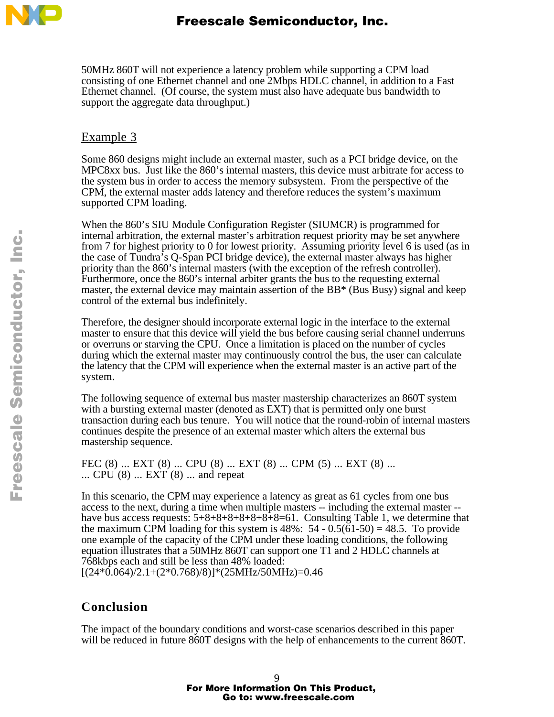

50MHz 860T will not experience a latency problem while supporting a CPM load consisting of one Ethernet channel and one 2Mbps HDLC channel, in addition to a Fast Ethernet channel. (Of course, the system must also have adequate bus bandwidth to support the aggregate data throughput.)

## Example 3

Some 860 designs might include an external master, such as a PCI bridge device, on the **MPC8xx** bus. Just like the 860's internal masters, this device must arbitrate for access to the system bus in order to access the memory subsystem. From the perspective of the CPM, the external master adds latency and therefore reduces the system's maximum supported CPM loading.

When the 860's SIU Module Configuration Register (SIUMCR) is programmed for internal arbitration, the external master's arbitration request priority may be set anywhere from 7 for highest priority to 0 for lowest priority. Assuming priority level 6 is used (as in the case of Tundra's Q-Span PCI bridge device), the external master always has higher priority than the 860's internal masters (with the exception of the refresh controller). Furthermore, once the 860's internal arbiter grants the bus to the requesting external master, the external device may maintain assertion of the  $BB^*$  (Bus Busy) signal and keep control of the external bus indefinitely.

Therefore, the designer should incorporate external logic in the interface to the external master to ensure that this device will yield the bus before causing serial channel underruns or overruns or starving the CPU. Once a limitation is placed on the number of cycles during which the external master may continuously control the bus, the user can calculate the latency that the CPM will experience when the external master is an active part of the system.

The following sequence of external bus master mastership characterizes an 860T system with a bursting external master (denoted as EXT) that is permitted only one burst transaction during each bus tenure. You will notice that the round-robin of internal masters continues despite the presence of an external master which alters the external bus mastership sequence.

FEC (8) ... EXT (8) ... CPU (8) ... EXT (8) ... CPM (5) ... EXT (8) ... ... CPU (8) ... EXT (8) ... and repeat

In this scenario, the CPM may experience a latency as great as 61 cycles from one bus access to the next, during a time when multiple masters -- including the external master - have bus access requests:  $5+8+8+8+8+8+8=61$ . Consulting Table 1, we determine that the maximum CPM loading for this system is 48%:  $54 - 0.5(61-50) = 48.5$ . To provide one example of the capacity of the CPM under these loading conditions, the following equation illustrates that a 50MHz 860T can support one T1 and 2 HDLC channels at 768kbps each and still be less than 48% loaded:  $[(24*0.064)/2.1+(2*0.768)/8)]*(25MHz/50MHz)=0.46$ 

# **Conclusion**

The impact of the boundary conditions and worst-case scenarios described in this paper will be reduced in future 860T designs with the help of enhancements to the current 860T.